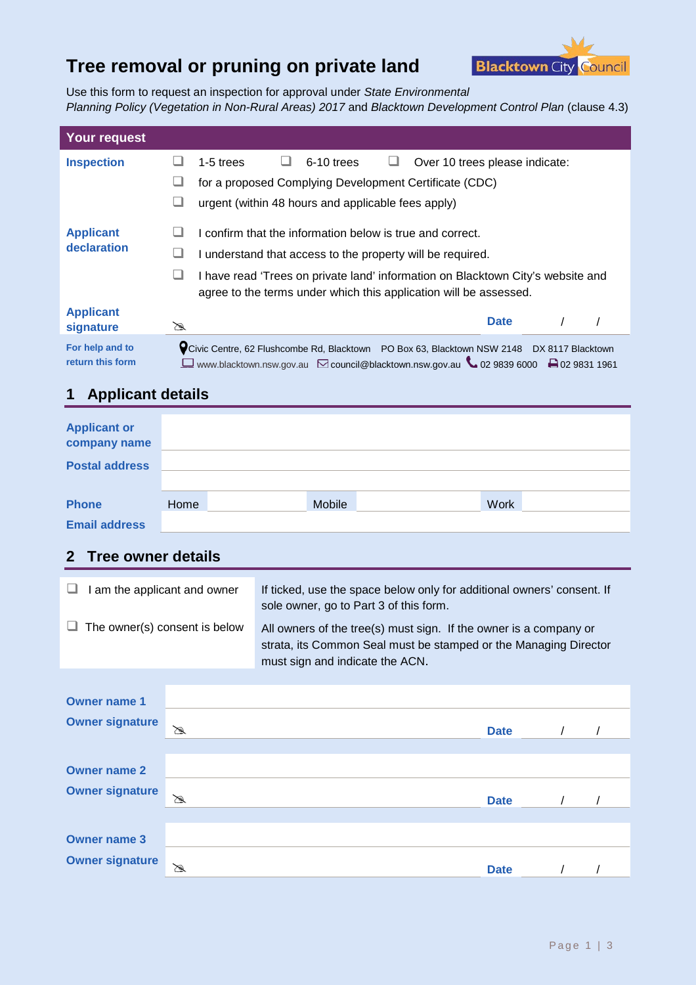# **Tree removal or pruning on private land**



Use this form to request an inspection for approval under *State Environmental Planning Policy (Vegetation in Non-Rural Areas) 2017* and *Blacktown Development Control Plan* (clause 4.3)

| <b>Your request</b>                 |                                                                                                                                                                                           |  |  |  |  |
|-------------------------------------|-------------------------------------------------------------------------------------------------------------------------------------------------------------------------------------------|--|--|--|--|
| <b>Inspection</b>                   | 6-10 trees<br>$1-5$ trees<br>Over 10 trees please indicate:                                                                                                                               |  |  |  |  |
|                                     | for a proposed Complying Development Certificate (CDC)                                                                                                                                    |  |  |  |  |
|                                     | urgent (within 48 hours and applicable fees apply)                                                                                                                                        |  |  |  |  |
| <b>Applicant</b>                    | confirm that the information below is true and correct.                                                                                                                                   |  |  |  |  |
| declaration                         | I understand that access to the property will be required.                                                                                                                                |  |  |  |  |
|                                     | I have read 'Trees on private land' information on Blacktown City's website and<br>agree to the terms under which this application will be assessed.                                      |  |  |  |  |
| <b>Applicant</b><br>signature       | <b>Date</b><br>☎                                                                                                                                                                          |  |  |  |  |
| For help and to<br>return this form | V Civic Centre, 62 Flushcombe Rd, Blacktown PO Box 63, Blacktown NSW 2148<br>DX 8117 Blacktown<br>□ www.blacktown.nsw.gov.au ⊠ council@blacktown.nsw.gov.au ↓ 02 9839 6000 ₽ 02 9831 1961 |  |  |  |  |

## **1 Applicant details**

| <b>Applicant or</b><br>company name<br><b>Postal address</b> |      |        |             |  |
|--------------------------------------------------------------|------|--------|-------------|--|
| <b>Phone</b>                                                 | Home | Mobile | <b>Work</b> |  |
| <b>Email address</b>                                         |      |        |             |  |

### **2 Tree owner details**

| I am the applicant and owner         | If ticked, use the space below only for additional owners' consent. If                                                                                                   |
|--------------------------------------|--------------------------------------------------------------------------------------------------------------------------------------------------------------------------|
| └                                    | sole owner, go to Part 3 of this form.                                                                                                                                   |
| $\Box$ The owner(s) consent is below | All owners of the tree(s) must sign. If the owner is a company or<br>strata, its Common Seal must be stamped or the Managing Director<br>must sign and indicate the ACN. |

| <b>Owner name 1</b>    |   |             |  |
|------------------------|---|-------------|--|
| <b>Owner signature</b> | ⊠ | <b>Date</b> |  |
| <b>Owner name 2</b>    |   |             |  |
| <b>Owner signature</b> | B | <b>Date</b> |  |
|                        |   |             |  |
| <b>Owner name 3</b>    |   |             |  |
| <b>Owner signature</b> | ☎ | <b>Date</b> |  |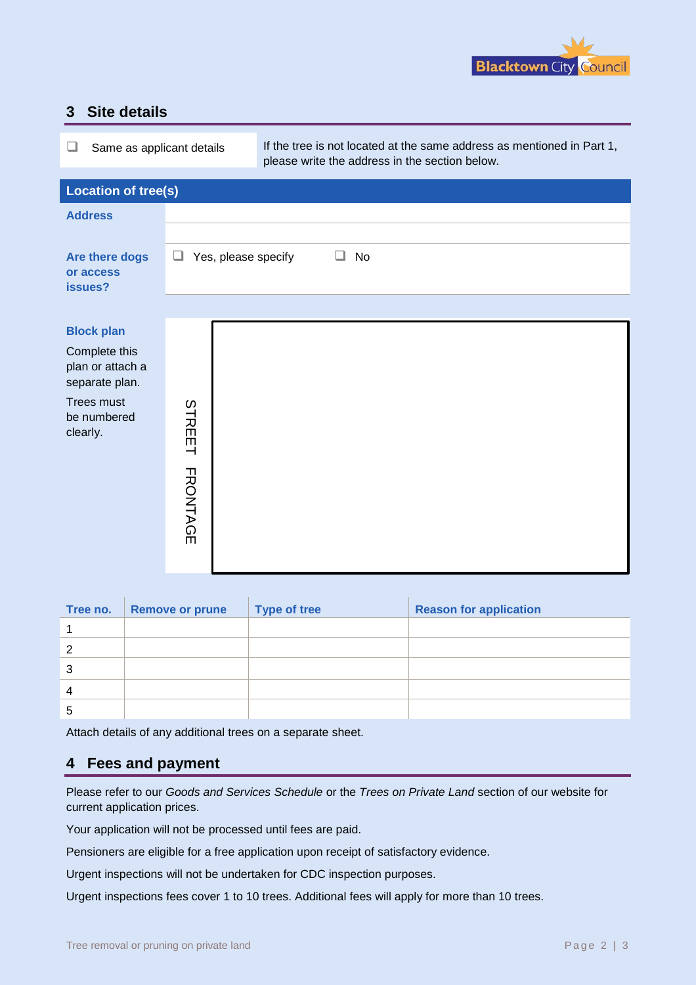

### **3 Site details**

| ⊔<br>Same as applicant details                                                                                                         |  | please write the address in the section below. |                     | If the tree is not located at the same address as mentioned in Part 1, |    |                               |
|----------------------------------------------------------------------------------------------------------------------------------------|--|------------------------------------------------|---------------------|------------------------------------------------------------------------|----|-------------------------------|
| <b>Location of tree(s)</b>                                                                                                             |  |                                                |                     |                                                                        |    |                               |
| <b>Address</b>                                                                                                                         |  |                                                |                     |                                                                        |    |                               |
|                                                                                                                                        |  |                                                |                     |                                                                        |    |                               |
| Are there dogs<br>or access<br>issues?                                                                                                 |  | ⊔                                              | Yes, please specify | ┙                                                                      | No |                               |
|                                                                                                                                        |  |                                                |                     |                                                                        |    |                               |
| <b>Block plan</b><br>Complete this<br>plan or attach a<br>separate plan.<br><b>Trees must</b><br>be numbered<br>clearly.               |  | STREET<br><b>FRONTAGE</b>                      |                     |                                                                        |    |                               |
| Tree no.                                                                                                                               |  | <b>Remove or prune</b>                         |                     | <b>Type of tree</b>                                                    |    | <b>Reason for application</b> |
| 1                                                                                                                                      |  |                                                |                     |                                                                        |    |                               |
| 2                                                                                                                                      |  |                                                |                     |                                                                        |    |                               |
| 3                                                                                                                                      |  |                                                |                     |                                                                        |    |                               |
| 4                                                                                                                                      |  |                                                |                     |                                                                        |    |                               |
| 5                                                                                                                                      |  |                                                |                     |                                                                        |    |                               |
|                                                                                                                                        |  |                                                |                     | Attach details of any additional trees on a separate sheet.            |    |                               |
| <b>Fees and payment</b><br>4                                                                                                           |  |                                                |                     |                                                                        |    |                               |
| Please refer to our Goods and Services Schedule or the Trees on Private Land section of our website for<br>current application prices. |  |                                                |                     |                                                                        |    |                               |
| Your application will not be processed until fees are paid.                                                                            |  |                                                |                     |                                                                        |    |                               |
| Pensioners are eligible for a free application upon receipt of satisfactory evidence.                                                  |  |                                                |                     |                                                                        |    |                               |
| Urgent inspections will not be undertaken for CDC inspection purposes.                                                                 |  |                                                |                     |                                                                        |    |                               |
| Urgent inspections fees cover 1 to 10 trees. Additional fees will apply for more than 10 trees.                                        |  |                                                |                     |                                                                        |    |                               |

| Tree no. | <b>Remove or prune</b> | <b>Type of tree</b> | <b>Reason for application</b> |
|----------|------------------------|---------------------|-------------------------------|
|          |                        |                     |                               |
| 2        |                        |                     |                               |
| 3        |                        |                     |                               |
| 4        |                        |                     |                               |
| 5        |                        |                     |                               |

### **4 Fees and payment**